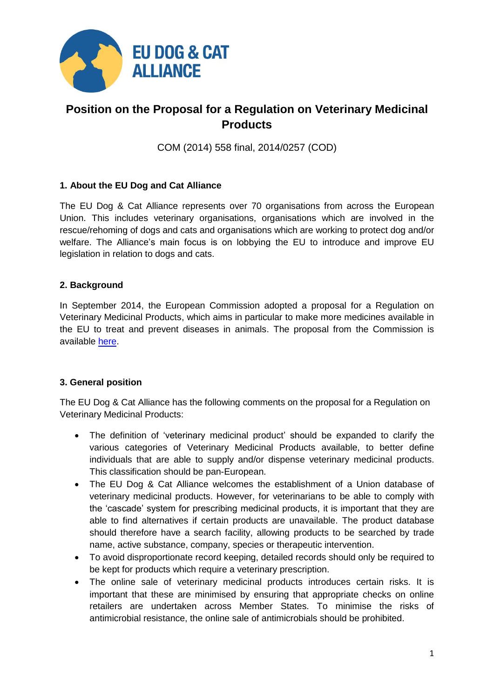

## **Position on the Proposal for a Regulation on Veterinary Medicinal Products**

COM (2014) 558 final, 2014/0257 (COD)

## **1. About the EU Dog and Cat Alliance**

The EU Dog & Cat Alliance represents over 70 organisations from across the European Union. This includes veterinary organisations, organisations which are involved in the rescue/rehoming of dogs and cats and organisations which are working to protect dog and/or welfare. The Alliance's main focus is on lobbying the EU to introduce and improve EU legislation in relation to dogs and cats.

## **2. Background**

In September 2014, the European Commission adopted a proposal for a Regulation on Veterinary Medicinal Products, which aims in particular to make more medicines available in the EU to treat and prevent diseases in animals. The proposal from the Commission is available [here.](http://ec.europa.eu/health/files/veterinary/vet_2014-09/regulation/reg_part1_en.pdf)

## **3. General position**

The EU Dog & Cat Alliance has the following comments on the proposal for a Regulation on Veterinary Medicinal Products:

- The definition of 'veterinary medicinal product' should be expanded to clarify the various categories of Veterinary Medicinal Products available, to better define individuals that are able to supply and/or dispense veterinary medicinal products. This classification should be pan-European.
- The EU Dog & Cat Alliance welcomes the establishment of a Union database of veterinary medicinal products. However, for veterinarians to be able to comply with the 'cascade' system for prescribing medicinal products, it is important that they are able to find alternatives if certain products are unavailable. The product database should therefore have a search facility, allowing products to be searched by trade name, active substance, company, species or therapeutic intervention.
- To avoid disproportionate record keeping, detailed records should only be required to be kept for products which require a veterinary prescription.
- The online sale of veterinary medicinal products introduces certain risks. It is important that these are minimised by ensuring that appropriate checks on online retailers are undertaken across Member States. To minimise the risks of antimicrobial resistance, the online sale of antimicrobials should be prohibited.